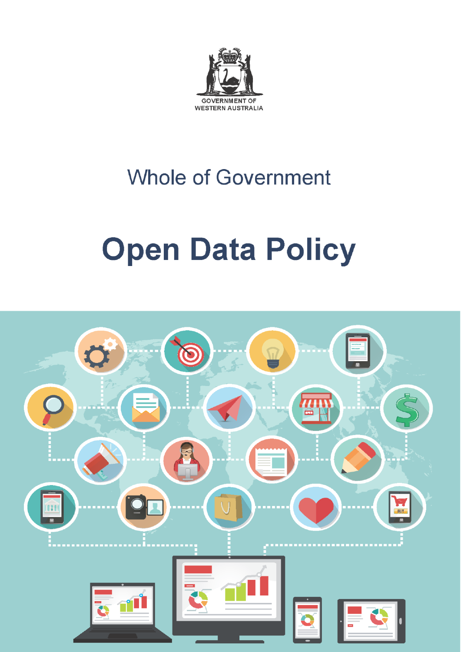

# **Whole of Government**

# **Open Data Policy**

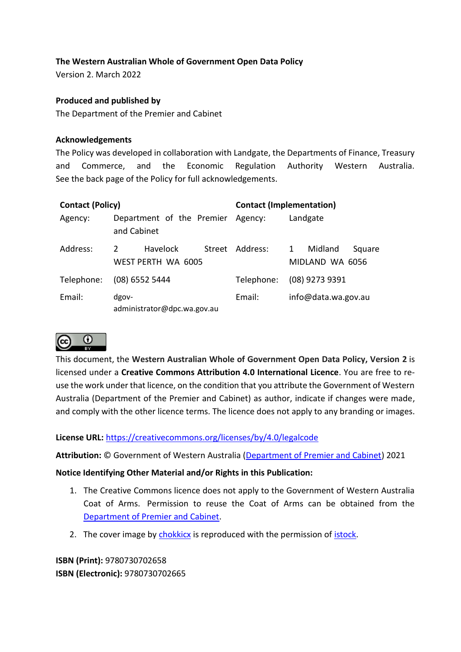# **The Western Australian Whole of Government Open Data Policy**

Version 2. March 2022

#### **Produced and published by**

The Department of the Premier and Cabinet

#### **Acknowledgements**

The Policy was developed in collaboration with Landgate, the Departments of Finance, Treasury and Commerce, and the Economic Regulation Authority Western Australia. See the back page of the Policy for full acknowledgements.

| <b>Contact (Policy)</b> |                                                  | <b>Contact (Implementation)</b> |                                           |
|-------------------------|--------------------------------------------------|---------------------------------|-------------------------------------------|
| Agency:                 | Department of the Premier Agency:<br>and Cabinet |                                 | Landgate                                  |
| Address:                | 2<br><b>Havelock</b><br>WEST PERTH WA 6005       | Street Address:                 | Midland<br>1<br>Square<br>MIDLAND WA 6056 |
| Telephone:              | $(08)$ 6552 5444                                 | Telephone:                      | (08) 9273 9391                            |
| Email:                  | dgov-<br>administrator@dpc.wa.gov.au             | Email:                          | info@data.wa.gov.au                       |



This document, the **Western Australian Whole of Government Open Data Policy, Version 2** is licensed under a **Creative Commons Attribution 4.0 International Licence**. You are free to reuse the work under that licence, on the condition that you attribute the Government of Western Australia (Department of the Premier and Cabinet) as author, indicate if changes were made, and comply with the other licence terms. The licence does not apply to any branding or images.

#### **License URL:** <https://creativecommons.org/licenses/by/4.0/legalcode>

**Attribution:** © Government of Western Australia [\(Department of Premier and Cabinet\)](http://www.dpc.wa.gov.au/Pages/Default.aspx) 2021

#### **Notice Identifying Other Material and/or Rights in this Publication:**

- 1. The Creative Commons licence does not apply to the Government of Western Australia Coat of Arms. Permission to reuse the Coat of Arms can be obtained from the [Department of Premier and Cabinet.](http://www.dpc.wa.gov.au/GuidelinesAndPolicies/SymbolsOfWA/Pages/CoatofArms.aspx)
- 2. The cover image by [chokkicx](http://www.istockphoto.com/portfolio/chokkicx) is reproduced with the permission of [istock.](http://www.istockphoto.com/vector/global-cloud-computing-44403006)

**ISBN (Print):** 9780730702658 **ISBN (Electronic):** 9780730702665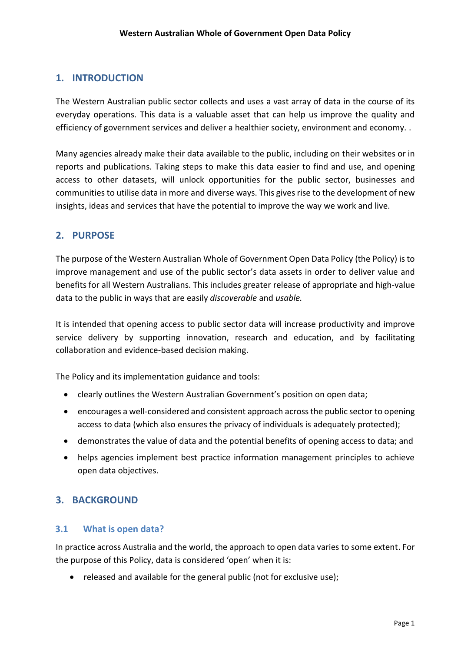# **1. INTRODUCTION**

The Western Australian public sector collects and uses a vast array of data in the course of its everyday operations. This data is a valuable asset that can help us improve the quality and efficiency of government services and deliver a healthier society, environment and economy. .

Many agencies already make their data available to the public, including on their websites or in reports and publications. Taking steps to make this data easier to find and use, and opening access to other datasets, will unlock opportunities for the public sector, businesses and communities to utilise data in more and diverse ways. This gives rise to the development of new insights, ideas and services that have the potential to improve the way we work and live.

# **2. PURPOSE**

The purpose of the Western Australian Whole of Government Open Data Policy (the Policy) is to improve management and use of the public sector's data assets in order to deliver value and benefits for all Western Australians. This includes greater release of appropriate and high-value data to the public in ways that are easily *discoverable* and *usable.*

It is intended that opening access to public sector data will increase productivity and improve service delivery by supporting innovation, research and education, and by facilitating collaboration and evidence-based decision making.

The Policy and its implementation guidance and tools:

- clearly outlines the Western Australian Government's position on open data;
- encourages a well-considered and consistent approach across the public sector to opening access to data (which also ensures the privacy of individuals is adequately protected);
- demonstrates the value of data and the potential benefits of opening access to data; and
- helps agencies implement best practice information management principles to achieve open data objectives.

# **3. BACKGROUND**

#### **3.1 What is open data?**

In practice across Australia and the world, the approach to open data varies to some extent. For the purpose of this Policy, data is considered 'open' when it is:

• released and available for the general public (not for exclusive use);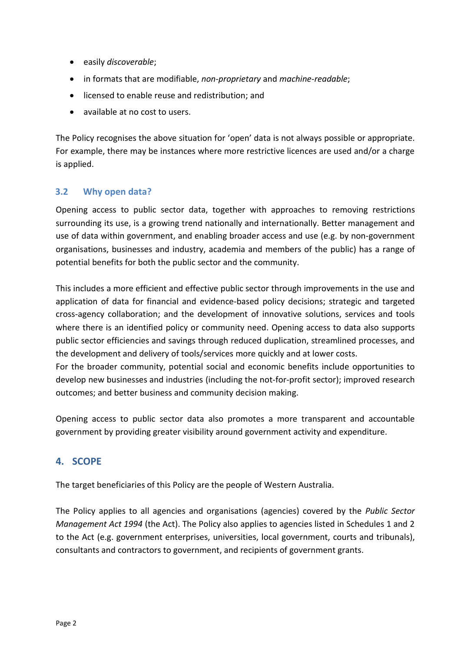- easily *discoverable*;
- in formats that are modifiable, *non-proprietary* and *machine-readable*;
- licensed to enable reuse and redistribution; and
- available at no cost to users.

The Policy recognises the above situation for 'open' data is not always possible or appropriate. For example, there may be instances where more restrictive licences are used and/or a charge is applied.

# **3.2 Why open data?**

Opening access to public sector data, together with approaches to removing restrictions surrounding its use, is a growing trend nationally and internationally. Better management and use of data within government, and enabling broader access and use (e.g. by non-government organisations, businesses and industry, academia and members of the public) has a range of potential benefits for both the public sector and the community.

This includes a more efficient and effective public sector through improvements in the use and application of data for financial and evidence-based policy decisions; strategic and targeted cross-agency collaboration; and the development of innovative solutions, services and tools where there is an identified policy or community need. Opening access to data also supports public sector efficiencies and savings through reduced duplication, streamlined processes, and the development and delivery of tools/services more quickly and at lower costs.

For the broader community, potential social and economic benefits include opportunities to develop new businesses and industries (including the not-for-profit sector); improved research outcomes; and better business and community decision making.

Opening access to public sector data also promotes a more transparent and accountable government by providing greater visibility around government activity and expenditure.

# **4. SCOPE**

The target beneficiaries of this Policy are the people of Western Australia.

The Policy applies to all agencies and organisations (agencies) covered by the *Public Sector Management Act 1994* (the Act). The Policy also applies to agencies listed in Schedules 1 and 2 to the Act (e.g. government enterprises, universities, local government, courts and tribunals), consultants and contractors to government, and recipients of government grants.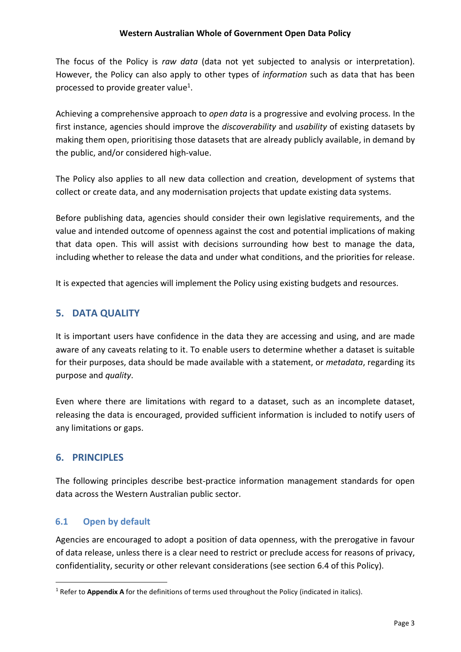The focus of the Policy is *raw data* (data not yet subjected to analysis or interpretation). However, the Policy can also apply to other types of *information* such as data that has been processed to provide greater value<sup>1</sup>.

Achieving a comprehensive approach to *open data* is a progressive and evolving process. In the first instance, agencies should improve the *discoverability* and *usability* of existing datasets by making them open, prioritising those datasets that are already publicly available, in demand by the public, and/or considered high-value.

The Policy also applies to all new data collection and creation, development of systems that collect or create data, and any modernisation projects that update existing data systems.

Before publishing data, agencies should consider their own legislative requirements, and the value and intended outcome of openness against the cost and potential implications of making that data open. This will assist with decisions surrounding how best to manage the data, including whether to release the data and under what conditions, and the priorities for release.

It is expected that agencies will implement the Policy using existing budgets and resources.

# **5. DATA QUALITY**

It is important users have confidence in the data they are accessing and using, and are made aware of any caveats relating to it. To enable users to determine whether a dataset is suitable for their purposes, data should be made available with a statement, or *metadata*, regarding its purpose and *quality*.

Even where there are limitations with regard to a dataset, such as an incomplete dataset, releasing the data is encouraged, provided sufficient information is included to notify users of any limitations or gaps.

# **6. PRINCIPLES**

1

The following principles describe best-practice information management standards for open data across the Western Australian public sector.

#### **6.1 Open by default**

Agencies are encouraged to adopt a position of data openness, with the prerogative in favour of data release, unless there is a clear need to restrict or preclude access for reasons of privacy, confidentiality, security or other relevant considerations (see section 6.4 of this Policy).

<sup>1</sup> Refer to **Appendix A** for the definitions of terms used throughout the Policy (indicated in italics).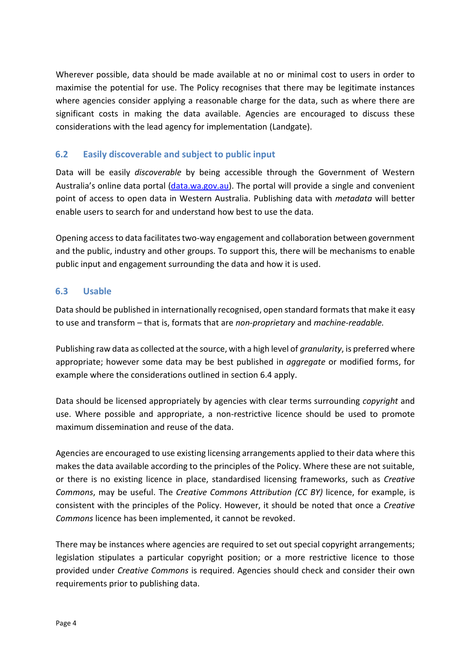Wherever possible, data should be made available at no or minimal cost to users in order to maximise the potential for use. The Policy recognises that there may be legitimate instances where agencies consider applying a reasonable charge for the data, such as where there are significant costs in making the data available. Agencies are encouraged to discuss these considerations with the lead agency for implementation (Landgate).

# **6.2 Easily discoverable and subject to public input**

Data will be easily *discoverable* by being accessible through the Government of Western Australia's online data portal [\(data.wa.gov.au\)](https://data.wa.gov.au/). The portal will provide a single and convenient point of access to open data in Western Australia. Publishing data with *metadata* will better enable users to search for and understand how best to use the data.

Opening access to data facilitates two-way engagement and collaboration between government and the public, industry and other groups. To support this, there will be mechanisms to enable public input and engagement surrounding the data and how it is used.

# **6.3 Usable**

Data should be published in internationally recognised, open standard formats that make it easy to use and transform – that is, formats that are *non-proprietary* and *machine-readable.*

Publishing raw data as collected at the source, with a high level of *granularity*, is preferred where appropriate; however some data may be best published in *aggregate* or modified forms, for example where the considerations outlined in section 6.4 apply.

Data should be licensed appropriately by agencies with clear terms surrounding *copyright* and use. Where possible and appropriate, a non-restrictive licence should be used to promote maximum dissemination and reuse of the data.

Agencies are encouraged to use existing licensing arrangements applied to their data where this makes the data available according to the principles of the Policy. Where these are not suitable, or there is no existing licence in place, standardised licensing frameworks, such as *Creative Commons*, may be useful. The *Creative Commons Attribution (CC BY)* licence, for example, is consistent with the principles of the Policy. However, it should be noted that once a *Creative Commons* licence has been implemented, it cannot be revoked.

There may be instances where agencies are required to set out special copyright arrangements; legislation stipulates a particular copyright position; or a more restrictive licence to those provided under *Creative Commons* is required. Agencies should check and consider their own requirements prior to publishing data.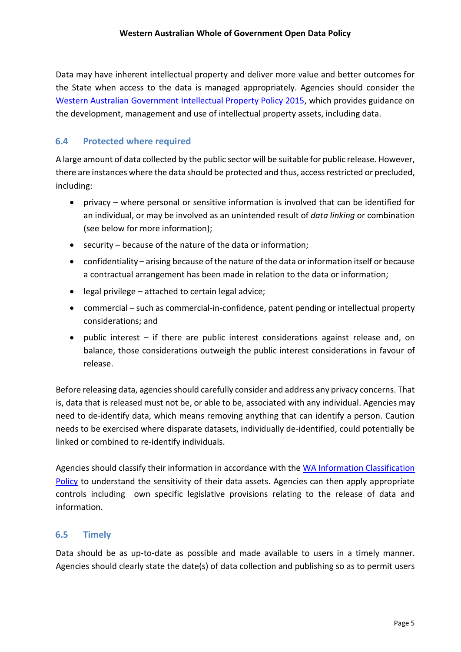Data may have inherent intellectual property and deliver more value and better outcomes for the State when access to the data is managed appropriately. Agencies should consider the [Western Australian Government Intellectual Property Policy 2015,](https://www.wa.gov.au/system/files/2020-11/wa-ip-policy-2015.pdf) which provides guidance on the development, management and use of intellectual property assets, including data.

#### **6.4 Protected where required**

A large amount of data collected by the public sector will be suitable for public release. However, there are instances where the data should be protected and thus, access restricted or precluded, including:

- privacy where personal or sensitive information is involved that can be identified for an individual, or may be involved as an unintended result of *data linking* or combination (see below for more information);
- security because of the nature of the data or information;
- confidentiality arising because of the nature of the data or information itself or because a contractual arrangement has been made in relation to the data or information;
- $\bullet$  legal privilege attached to certain legal advice;
- commercial such as commercial-in-confidence, patent pending or intellectual property considerations; and
- public interest if there are public interest considerations against release and, on balance, those considerations outweigh the public interest considerations in favour of release.

Before releasing data, agencies should carefully consider and address any privacy concerns. That is, data that is released must not be, or able to be, associated with any individual. Agencies may need to de-identify data, which means removing anything that can identify a person. Caution needs to be exercised where disparate datasets, individually de-identified, could potentially be linked or combined to re-identify individuals.

Agencies should classify their information in accordance with the [WA Information Classification](https://www.wa.gov.au/government/publications/western-australian-information-classification-policy)  [Policy](https://www.wa.gov.au/government/publications/western-australian-information-classification-policy) to understand the sensitivity of their data assets. Agencies can then apply appropriate controls including own specific legislative provisions relating to the release of data and information.

#### **6.5 Timely**

Data should be as up-to-date as possible and made available to users in a timely manner. Agencies should clearly state the date(s) of data collection and publishing so as to permit users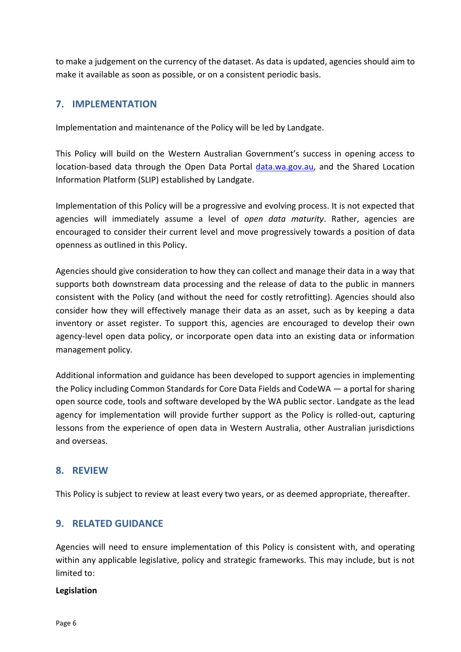to make a judgement on the currency of the dataset. As data is updated, agencies should aim to make it available as soon as possible, or on a consistent periodic basis.

# **7. IMPLEMENTATION**

Implementation and maintenance of the Policy will be led by Landgate.

This Policy will build on the Western Australian Government's success in opening access to location-based data through the Open Data Portal [data.wa.gov.au,](https://data.wa.gov.au/) and the Shared Location Information Platform (SLIP) established by Landgate.

Implementation of this Policy will be a progressive and evolving process. It is not expected that agencies will immediately assume a level of *open data maturity*. Rather, agencies are encouraged to consider their current level and move progressively towards a position of data openness as outlined in this Policy.

Agencies should give consideration to how they can collect and manage their data in a way that supports both downstream data processing and the release of data to the public in manners consistent with the Policy (and without the need for costly retrofitting). Agencies should also consider how they will effectively manage their data as an asset, such as by keeping a data inventory or asset register. To support this, agencies are encouraged to develop their own agency-level open data policy, or incorporate open data into an existing data or information management policy.

Additional information and guidance has been developed to support agencies in implementing the Policy including Common Standards for Core Data Fields and CodeWA — a portal for sharing open source code, tools and software developed by the WA public sector. Landgate as the lead agency for implementation will provide further support as the Policy is rolled-out, capturing lessons from the experience of open data in Western Australia, other Australian jurisdictions and overseas.

# **8. REVIEW**

This Policy is subject to review at least every two years, or as deemed appropriate, thereafter.

#### **9. RELATED GUIDANCE**

Agencies will need to ensure implementation of this Policy is consistent with, and operating within any applicable legislative, policy and strategic frameworks. This may include, but is not limited to:

#### **Legislation**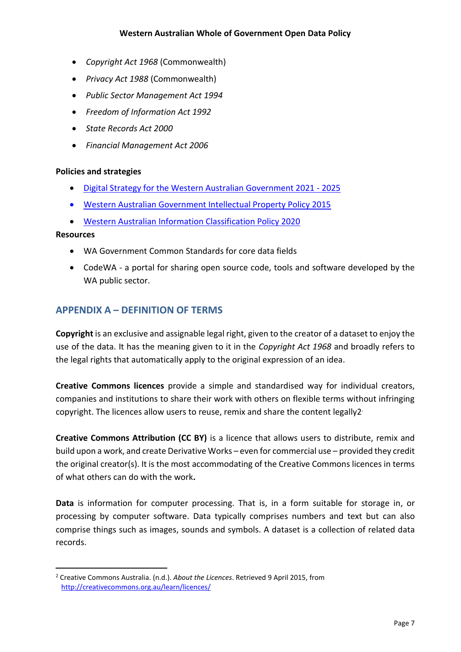- *Copyright Act 1968* (Commonwealth)
- *Privacy Act 1988* (Commonwealth)
- *Public Sector Management Act 1994*
- *Freedom of Information Act 1992*
- *State Records Act 2000*
- *Financial Management Act 2006*

#### **Policies and strategies**

- [Digital Strategy for the Western Australian Government 2021 -](https://www.wa.gov.au/organisation/department-of-the-premier-and-cabinet/digital-strategy-the-western-australian-government-2021-2025) 2025
- [Western Australian Government Intellectual Property Policy 2015](https://www.wa.gov.au/system/files/2020-11/wa-ip-policy-2015.pdf)
- [Western Australian Information Classification Policy 2020](https://www.wa.gov.au/government/publications/western-australian-information-classification-policy)

#### **Resources**

-

- WA Government Common Standards for core data fields
- CodeWA a portal for sharing open source code, tools and software developed by the WA public sector.

# **APPENDIX A – DEFINITION OF TERMS**

**Copyright** is an exclusive and assignable legal right, given to the creator of a dataset to enjoy the use of the data. It has the meaning given to it in the *Copyright Act 1968* and broadly refers to the legal rights that automatically apply to the original expression of an idea.

**Creative Commons licences** provide a simple and standardised way for individual creators, companies and institutions to share their work with others on flexible terms without infringing copyright. The licences allow users to reuse, remix and share the content legally2 .

**Creative Commons Attribution (CC BY)** is a licence that allows users to distribute, remix and build upon a work, and create Derivative Works – even for commercial use – provided they credit the original creator(s). It is the most accommodating of the Creative Commons licences in terms of what others can do with the work**.**

**Data** is information for computer processing. That is, in a form suitable for storage in, or processing by computer software. Data typically comprises numbers and text but can also comprise things such as images, sounds and symbols. A dataset is a collection of related data records.

<sup>2</sup> Creative Commons Australia. (n.d.). *About the Licences*. Retrieved 9 April 2015, from <http://creativecommons.org.au/learn/licences/>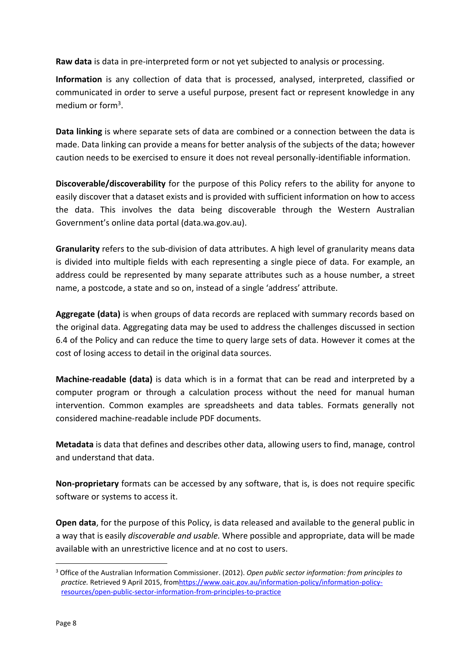**Raw data** is data in pre-interpreted form or not yet subjected to analysis or processing.

**Information** is any collection of data that is processed, analysed, interpreted, classified or communicated in order to serve a useful purpose, present fact or represent knowledge in any medium or form<sup>3</sup>.

**Data linking** is where separate sets of data are combined or a connection between the data is made. Data linking can provide a means for better analysis of the subjects of the data; however caution needs to be exercised to ensure it does not reveal personally-identifiable information.

**Discoverable/discoverability** for the purpose of this Policy refers to the ability for anyone to easily discover that a dataset exists and is provided with sufficient information on how to access the data. This involves the data being discoverable through the Western Australian Government's online data portal (data.wa.gov.au).

**Granularity** refers to the sub-division of data attributes. A high level of granularity means data is divided into multiple fields with each representing a single piece of data. For example, an address could be represented by many separate attributes such as a house number, a street name, a postcode, a state and so on, instead of a single 'address' attribute.

**Aggregate (data)** is when groups of data records are replaced with summary records based on the original data. Aggregating data may be used to address the challenges discussed in section 6.4 of the Policy and can reduce the time to query large sets of data. However it comes at the cost of losing access to detail in the original data sources.

**Machine-readable (data)** is data which is in a format that can be read and interpreted by a computer program or through a calculation process without the need for manual human intervention. Common examples are spreadsheets and data tables. Formats generally not considered machine-readable include PDF documents.

**Metadata** is data that defines and describes other data, allowing users to find, manage, control and understand that data.

**Non-proprietary** formats can be accessed by any software, that is, is does not require specific software or systems to access it.

**Open data**, for the purpose of this Policy, is data released and available to the general public in a way that is easily *discoverable and usable.* Where possible and appropriate, data will be made available with an unrestrictive licence and at no cost to users.

1

<sup>3</sup> Office of the Australian Information Commissioner. (2012). *Open public sector information: from principles to practice.* Retrieved 9 April 2015, fro[mhttps://www.oaic.gov.au/information-policy/information-policy](https://www.oaic.gov.au/information-policy/information-policy-resources/open-public-sector-information-from-principles-to-practice)[resources/open-public-sector-information-from-principles-to-practice](https://www.oaic.gov.au/information-policy/information-policy-resources/open-public-sector-information-from-principles-to-practice)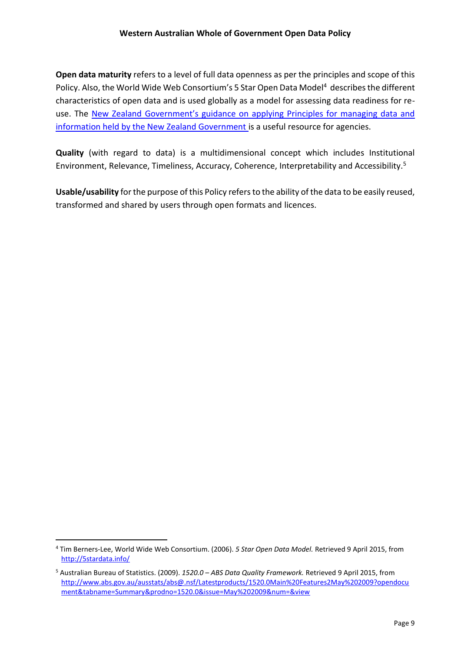**Open data maturity** refers to a level of full data openness as per the principles and scope of this Policy. Also, the World Wide Web Consortium's 5 Star Open Data Model<sup>4</sup> describes the different characteristics of open data and is used globally as a model for assessing data readiness for reuse. The New Zealand [Government's guidance](https://www.ict.govt.nz/guidance-and-resources/open-government/toolkit-agencies/applying-5-star-open-data-model-your-high-value-pu/) on applying [Principles for managing data and](https://www.ict.govt.nz/guidance-and-resources/open-government/toolkit-agencies/applying-5-star-open-data-model-your-high-value-pu/)  [information held by the New Zealand Government](https://www.data.govt.nz/toolkit/policies/new-zealand-data-and-information-management-principles/) is a useful resource for agencies.

**Quality** (with regard to data) is a multidimensional concept which includes Institutional Environment, Relevance, Timeliness, Accuracy, Coherence, Interpretability and Accessibility.<sup>5</sup>

**Usable/usability** for the purpose of this Policy refers to the ability of the data to be easily reused, transformed and shared by users through open formats and licences.

-

<sup>4</sup> Tim Berners-Lee, World Wide Web Consortium. (2006). *5 Star Open Data Model.* Retrieved 9 April 2015, from <http://5stardata.info/>

<sup>5</sup> Australian Bureau of Statistics. (2009). *1520.0 – ABS Data Quality Framework.* Retrieved 9 April 2015, from [http://www.abs.gov.au/ausstats/abs@.nsf/Latestproducts/1520.0Main%20Features2May%202009?opendocu](http://www.abs.gov.au/ausstats/abs@.nsf/Latestproducts/1520.0Main%20Features2May%202009?opendocument&tabname=Summary&prodno=1520.0&issue=May%202009&num=&view) [ment&tabname=Summary&prodno=1520.0&issue=May%202009&num=&view](http://www.abs.gov.au/ausstats/abs@.nsf/Latestproducts/1520.0Main%20Features2May%202009?opendocument&tabname=Summary&prodno=1520.0&issue=May%202009&num=&view)